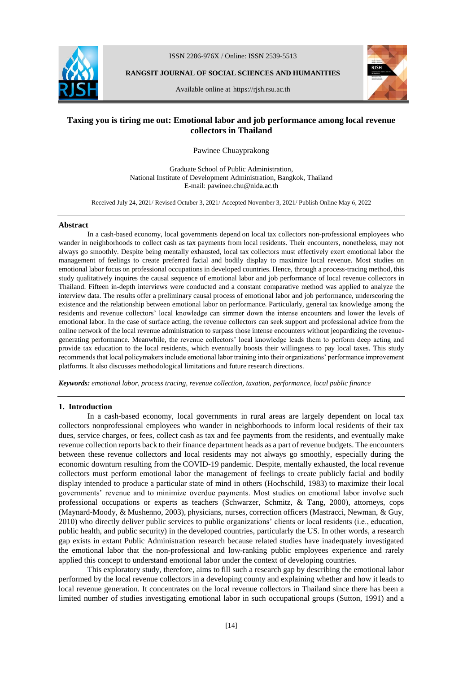

ISSN 2286-976X / Online: ISSN 2539-5513

**RANGSIT JOURNAL OF SOCIAL SCIENCES AND HUMANITIES**

Available online at https://rjsh.rsu.ac.th



# **Taxing you is tiring me out: Emotional labor and job performance among local revenue collectors in Thailand**

Pawinee Chuayprakong

Graduate School of Public Administration, National Institute of Development Administration, Bangkok, Thailand E-mail: pawinee.chu@nida.ac.th

Received July 24, 2021/ Revised Octuber 3, 2021/ Accepted November 3, 2021/ Publish Online May 6, 2022

#### **Abstract**

In a cash-based economy, local governments depend on local tax collectors non-professional employees who wander in neighborhoods to collect cash as tax payments from local residents. Their encounters, nonetheless, may not always go smoothly. Despite being mentally exhausted, local tax collectors must effectively exert emotional labor the management of feelings to create preferred facial and bodily display to maximize local revenue. Most studies on emotional labor focus on professional occupations in developed countries. Hence, through a process-tracing method, this study qualitatively inquires the causal sequence of emotional labor and job performance of local revenue collectors in Thailand. Fifteen in-depth interviews were conducted and a constant comparative method was applied to analyze the interview data. The results offer a preliminary causal process of emotional labor and job performance, underscoring the existence and the relationship between emotional labor on performance. Particularly, general tax knowledge among the residents and revenue collectors' local knowledge can simmer down the intense encounters and lower the levels of emotional labor. In the case of surface acting, the revenue collectors can seek support and professional advice from the online network of the local revenue administration to surpass those intense encounters without jeopardizing the revenuegenerating performance. Meanwhile, the revenue collectors' local knowledge leads them to perform deep acting and provide tax education to the local residents, which eventually boosts their willingness to pay local taxes. This study recommends that local policymakers include emotional labor training into their organizations' performance improvement platforms. It also discusses methodological limitations and future research directions.

*Keywords: emotional labor, process tracing, revenue collection, taxation, performance, local public finance* 

# **1. Introduction**

In a cash-based economy, local governments in rural areas are largely dependent on local tax collectors nonprofessional employees who wander in neighborhoods to inform local residents of their tax dues, service charges, or fees, collect cash as tax and fee payments from the residents, and eventually make revenue collection reports back to their finance department heads as a part of revenue budgets. The encounters between these revenue collectors and local residents may not always go smoothly, especially during the economic downturn resulting from the COVID-19 pandemic. Despite, mentally exhausted, the local revenue collectors must perform emotional labor the management of feelings to create publicly facial and bodily display intended to produce a particular state of mind in others (Hochschild, 1983) to maximize their local governments' revenue and to minimize overdue payments. Most studies on emotional labor involve such professional occupations or experts as teachers (Schwarzer, Schmitz, & Tang, 2000), attorneys, cops (Maynard-Moody, & Mushenno, 2003), physicians, nurses, correction officers (Mastracci, Newman, & Guy, 2010) who directly deliver public services to public organizations' clients or local residents (i.e., education, public health, and public security) in the developed countries, particularly the US. In other words, a research gap exists in extant Public Administration research because related studies have inadequately investigated the emotional labor that the non-professional and low-ranking public employees experience and rarely applied this concept to understand emotional labor under the context of developing countries.

This exploratory study, therefore, aims to fill such a research gap by describing the emotional labor performed by the local revenue collectors in a developing county and explaining whether and how it leads to local revenue generation. It concentrates on the local revenue collectors in Thailand since there has been a limited number of studies investigating emotional labor in such occupational groups (Sutton, 1991) and a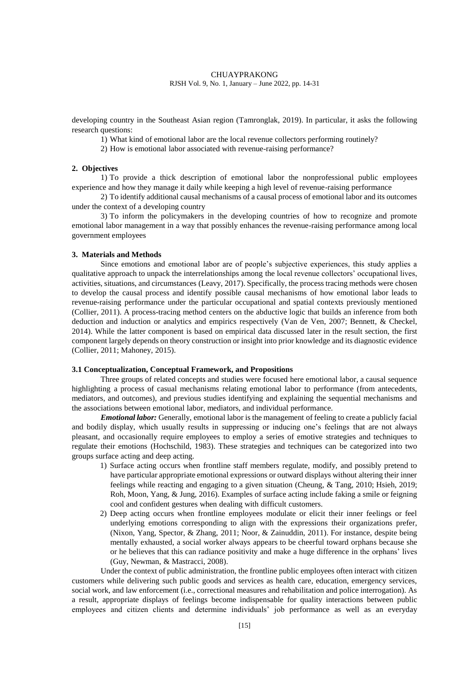developing country in the Southeast Asian region (Tamronglak, 2019). In particular, it asks the following research questions:

1) What kind of emotional labor are the local revenue collectors performing routinely?

2) How is emotional labor associated with revenue-raising performance?

# **2. Objectives**

1) To provide a thick description of emotional labor the nonprofessional public employees experience and how they manage it daily while keeping a high level of revenue-raising performance

2) To identify additional causal mechanisms of a causal process of emotional labor and its outcomes under the context of a developing country

3) To inform the policymakers in the developing countries of how to recognize and promote emotional labor management in a way that possibly enhances the revenue-raising performance among local government employees

# **3. Materials and Methods**

Since emotions and emotional labor are of people's subjective experiences, this study applies a qualitative approach to unpack the interrelationships among the local revenue collectors' occupational lives, activities, situations, and circumstances (Leavy, 2017). Specifically, the process tracing methods were chosen to develop the causal process and identify possible causal mechanisms of how emotional labor leads to revenue-raising performance under the particular occupational and spatial contexts previously mentioned (Collier, 2011). A process-tracing method centers on the abductive logic that builds an inference from both deduction and induction or analytics and empirics respectively (Van de Ven, 2007; Bennett, & Checkel, 2014). While the latter component is based on empirical data discussed later in the result section, the first component largely depends on theory construction or insight into prior knowledge and its diagnostic evidence (Collier, 2011; Mahoney, 2015).

# **3.1 Conceptualization, Conceptual Framework, and Propositions**

Three groups of related concepts and studies were focused here emotional labor, a causal sequence highlighting a process of casual mechanisms relating emotional labor to performance (from antecedents, mediators, and outcomes), and previous studies identifying and explaining the sequential mechanisms and the associations between emotional labor, mediators, and individual performance.

*Emotional labor:* Generally, emotional labor is the management of feeling to create a publicly facial and bodily display, which usually results in suppressing or inducing one's feelings that are not always pleasant, and occasionally require employees to employ a series of emotive strategies and techniques to regulate their emotions (Hochschild, 1983). These strategies and techniques can be categorized into two groups surface acting and deep acting.

- 1) Surface acting occurs when frontline staff members regulate, modify, and possibly pretend to have particular appropriate emotional expressions or outward displays without altering their inner feelings while reacting and engaging to a given situation (Cheung, & Tang, 2010; Hsieh, 2019; Roh, Moon, Yang, & Jung, 2016). Examples of surface acting include faking a smile or feigning cool and confident gestures when dealing with difficult customers.
- 2) Deep acting occurs when frontline employees modulate or elicit their inner feelings or feel underlying emotions corresponding to align with the expressions their organizations prefer, (Nixon, Yang, Spector, & Zhang, 2011; Noor, & Zainuddin, 2011). For instance, despite being mentally exhausted, a social worker always appears to be cheerful toward orphans because she or he believes that this can radiance positivity and make a huge difference in the orphans' lives (Guy, Newman, & Mastracci, 2008).

Under the context of public administration, the frontline public employees often interact with citizen customers while delivering such public goods and services as health care, education, emergency services, social work, and law enforcement (i.e., correctional measures and rehabilitation and police interrogation). As a result, appropriate displays of feelings become indispensable for quality interactions between public employees and citizen clients and determine individuals' job performance as well as an everyday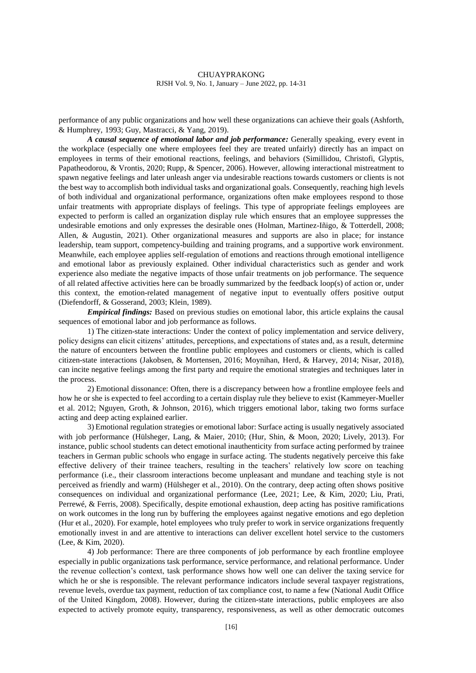performance of any public organizations and how well these organizations can achieve their goals (Ashforth, & Humphrey, 1993; Guy, Mastracci, & Yang, 2019).

*A causal sequence of emotional labor and job performance:* Generally speaking, every event in the workplace (especially one where employees feel they are treated unfairly) directly has an impact on employees in terms of their emotional reactions, feelings, and behaviors (Simillidou, Christofi, Glyptis, Papatheodorou, & Vrontis, 2020; Rupp, & Spencer, 2006). However, allowing interactional mistreatment to spawn negative feelings and later unleash anger via undesirable reactions towards customers or clients is not the best way to accomplish both individual tasks and organizational goals. Consequently, reaching high levels of both individual and organizational performance, organizations often make employees respond to those unfair treatments with appropriate displays of feelings. This type of appropriate feelings employees are expected to perform is called an organization display rule which ensures that an employee suppresses the undesirable emotions and only expresses the desirable ones (Holman, Martinez-Iñigo, & Totterdell, 2008; Allen, & Augustin, 2021). Other organizational measures and supports are also in place; for instance leadership, team support, competency-building and training programs, and a supportive work environment. Meanwhile, each employee applies self-regulation of emotions and reactions through emotional intelligence and emotional labor as previously explained. Other individual characteristics such as gender and work experience also mediate the negative impacts of those unfair treatments on job performance. The sequence of all related affective activities here can be broadly summarized by the feedback loop(s) of action or, under this context, the emotion-related management of negative input to eventually offers positive output (Diefendorff, & Gosserand, 2003; Klein, 1989).

*Empirical findings:* Based on previous studies on emotional labor, this article explains the causal sequences of emotional labor and job performance as follows.

1) The citizen-state interactions: Under the context of policy implementation and service delivery, policy designs can elicit citizens' attitudes, perceptions, and expectations of states and, as a result, determine the nature of encounters between the frontline public employees and customers or clients, which is called citizen-state interactions (Jakobsen, & Mortensen, 2016; Moynihan, Herd, & Harvey, 2014; Nisar, 2018), can incite negative feelings among the first party and require the emotional strategies and techniques later in the process.

2) Emotional dissonance: Often, there is a discrepancy between how a frontline employee feels and how he or she is expected to feel according to a certain display rule they believe to exist (Kammeyer-Mueller et al. 2012; Nguyen, Groth, & Johnson, 2016), which triggers emotional labor, taking two forms surface acting and deep acting explained earlier.

3) Emotional regulation strategies or emotional labor: Surface acting is usually negatively associated with job performance (Hülsheger, Lang, & Maier, 2010; (Hur, Shin, & Moon, 2020; Lively, 2013). For instance, public school students can detect emotional inauthenticity from surface acting performed by trainee teachers in German public schools who engage in surface acting. The students negatively perceive this fake effective delivery of their trainee teachers, resulting in the teachers' relatively low score on teaching performance (i.e., their classroom interactions become unpleasant and mundane and teaching style is not perceived as friendly and warm) (Hülsheger et al., 2010). On the contrary, deep acting often shows positive consequences on individual and organizational performance (Lee, 2021; Lee, & Kim, 2020; Liu, Prati, Perrewé, & Ferris, 2008). Specifically, despite emotional exhaustion, deep acting has positive ramifications on work outcomes in the long run by buffering the employees against negative emotions and ego depletion (Hur et al., 2020). For example, hotel employees who truly prefer to work in service organizations frequently emotionally invest in and are attentive to interactions can deliver excellent hotel service to the customers (Lee, & Kim, 2020).

4) Job performance: There are three components of job performance by each frontline employee especially in public organizations task performance, service performance, and relational performance. Under the revenue collection's context, task performance shows how well one can deliver the taxing service for which he or she is responsible. The relevant performance indicators include several taxpayer registrations, revenue levels, overdue tax payment, reduction of tax compliance cost, to name a few (National Audit Office of the United Kingdom, 2008). However, during the citizen-state interactions, public employees are also expected to actively promote equity, transparency, responsiveness, as well as other democratic outcomes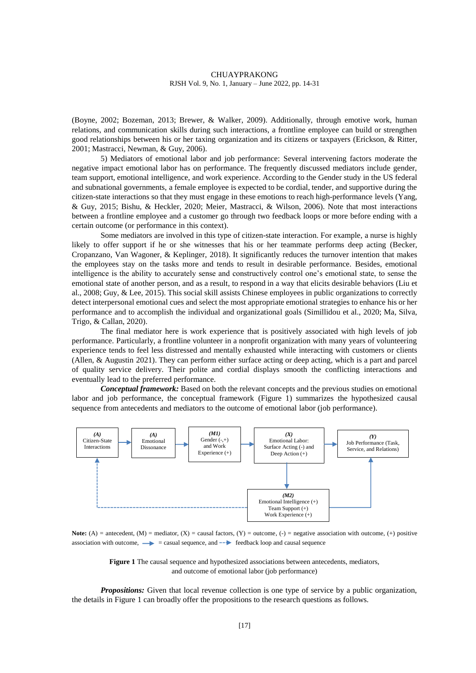(Boyne, 2002; Bozeman, 2013; Brewer, & Walker, 2009). Additionally, through emotive work, human relations, and communication skills during such interactions, a frontline employee can build or strengthen good relationships between his or her taxing organization and its citizens or taxpayers (Erickson, & Ritter, 2001; Mastracci, Newman, & Guy, 2006).

5) Mediators of emotional labor and job performance: Several intervening factors moderate the negative impact emotional labor has on performance. The frequently discussed mediators include gender, team support, emotional intelligence, and work experience. According to the Gender study in the US federal and subnational governments, a female employee is expected to be cordial, tender, and supportive during the citizen-state interactions so that they must engage in these emotions to reach high-performance levels (Yang, & Guy, 2015; Bishu, & Heckler, 2020; Meier, Mastracci, & Wilson, 2006). Note that most interactions between a frontline employee and a customer go through two feedback loops or more before ending with a certain outcome (or performance in this context).

Some mediators are involved in this type of citizen-state interaction. For example, a nurse is highly likely to offer support if he or she witnesses that his or her teammate performs deep acting (Becker, Cropanzano, Van Wagoner, & Keplinger, 2018). It significantly reduces the turnover intention that makes the employees stay on the tasks more and tends to result in desirable performance. Besides, emotional intelligence is the ability to accurately sense and constructively control one's emotional state, to sense the emotional state of another person, and as a result, to respond in a way that elicits desirable behaviors (Liu et al., 2008; Guy, & Lee, 2015). This social skill assists Chinese employees in public organizations to correctly detect interpersonal emotional cues and select the most appropriate emotional strategies to enhance his or her performance and to accomplish the individual and organizational goals (Simillidou et al., 2020; Ma, Silva, Trigo, & Callan, 2020).

The final mediator here is work experience that is positively associated with high levels of job performance. Particularly, a frontline volunteer in a nonprofit organization with many years of volunteering experience tends to feel less distressed and mentally exhausted while interacting with customers or clients (Allen, & Augustin 2021). They can perform either surface acting or deep acting, which is a part and parcel of quality service delivery. Their polite and cordial displays smooth the conflicting interactions and eventually lead to the preferred performance.

*Conceptual framework:* Based on both the relevant concepts and the previous studies on emotional labor and job performance, the conceptual framework (Figure 1) summarizes the hypothesized causal sequence from antecedents and mediators to the outcome of emotional labor (job performance).



**Note:** (A) = antecedent, (M) = mediator, (X) = causal factors, (Y) = outcome, (-) = negative association with outcome, (+) positive association with outcome,  $\rightarrow$  = casual sequence, and  $\rightarrow$  feedback loop and causal sequence

**Figure 1** The causal sequence and hypothesized associations between antecedents, mediators, and outcome of emotional labor (job performance)

*Propositions:* Given that local revenue collection is one type of service by a public organization, the details in Figure 1 can broadly offer the propositions to the research questions as follows.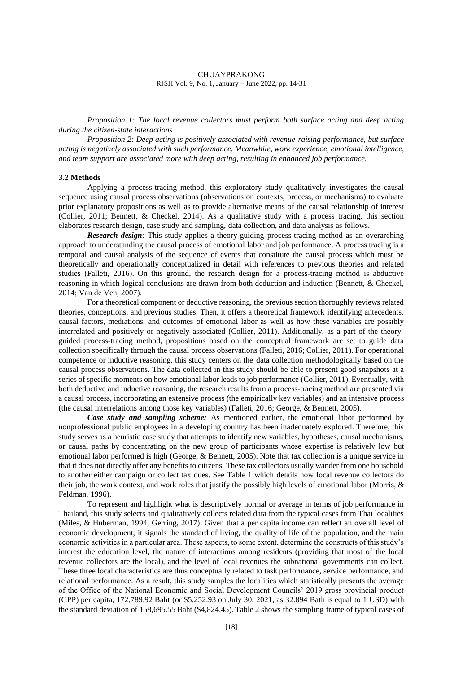*Proposition 1: The local revenue collectors must perform both surface acting and deep acting during the citizen-state interactions*

*Proposition 2: Deep acting is positively associated with revenue-raising performance, but surface acting is negatively associated with such performance. Meanwhile, work experience, emotional intelligence, and team support are associated more with deep acting, resulting in enhanced job performance.*

#### **3.2 Methods**

Applying a process-tracing method, this exploratory study qualitatively investigates the causal sequence using causal process observations (observations on contexts, process, or mechanisms) to evaluate prior explanatory propositions as well as to provide alternative means of the causal relationship of interest (Collier, 2011; Bennett, & Checkel, 2014). As a qualitative study with a process tracing, this section elaborates research design, case study and sampling, data collection, and data analysis as follows.

*Research design:* This study applies a theory-guiding process-tracing method as an overarching approach to understanding the causal process of emotional labor and job performance. A process tracing is a temporal and causal analysis of the sequence of events that constitute the causal process which must be theoretically and operationally conceptualized in detail with references to previous theories and related studies (Falleti, 2016). On this ground, the research design for a process-tracing method is abductive reasoning in which logical conclusions are drawn from both deduction and induction (Bennett, & Checkel, 2014; Van de Ven, 2007).

For a theoretical component or deductive reasoning, the previous section thoroughly reviews related theories, conceptions, and previous studies. Then, it offers a theoretical framework identifying antecedents, causal factors, mediations, and outcomes of emotional labor as well as how these variables are possibly interrelated and positively or negatively associated (Collier, 2011). Additionally, as a part of the theoryguided process-tracing method, propositions based on the conceptual framework are set to guide data collection specifically through the causal process observations (Falleti, 2016; Collier, 2011). For operational competence or inductive reasoning, this study centers on the data collection methodologically based on the causal process observations. The data collected in this study should be able to present good snapshots at a series of specific moments on how emotional labor leads to job performance (Collier, 2011). Eventually, with both deductive and inductive reasoning, the research results from a process-tracing method are presented via a causal process, incorporating an extensive process (the empirically key variables) and an intensive process (the causal interrelations among those key variables) (Falleti, 2016; George, & Bennett, 2005).

*Case study and sampling scheme:* As mentioned earlier, the emotional labor performed by nonprofessional public employees in a developing country has been inadequately explored. Therefore, this study serves as a heuristic case study that attempts to identify new variables, hypotheses, causal mechanisms, or causal paths by concentrating on the new group of participants whose expertise is relatively low but emotional labor performed is high (George, & Bennett, 2005). Note that tax collection is a unique service in that it does not directly offer any benefits to citizens. These tax collectors usually wander from one household to another either campaign or collect tax dues. See Table 1 which details how local revenue collectors do their job, the work context, and work roles that justify the possibly high levels of emotional labor (Morris, & Feldman, 1996).

To represent and highlight what is descriptively normal or average in terms of job performance in Thailand, this study selects and qualitatively collects related data from the typical cases from Thai localities (Miles, & Huberman, 1994; Gerring, 2017). Given that a per capita income can reflect an overall level of economic development, it signals the standard of living, the quality of life of the population, and the main economic activities in a particular area. These aspects, to some extent, determine the constructs of this study's interest the education level, the nature of interactions among residents (providing that most of the local revenue collectors are the local), and the level of local revenues the subnational governments can collect. These three local characteristics are thus conceptually related to task performance, service performance, and relational performance. As a result, this study samples the localities which statistically presents the average of the Office of the National Economic and Social Development Councils' 2019 gross provincial product (GPP) per capita, 172,789.92 Baht (or \$5,252.93 on July 30, 2021, as 32.894 Bath is equal to 1 USD) with the standard deviation of 158,695.55 Baht (\$4,824.45). Table 2 shows the sampling frame of typical cases of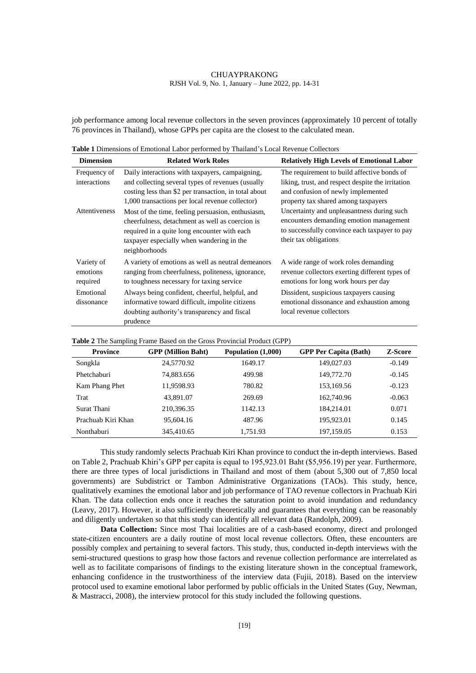job performance among local revenue collectors in the seven provinces (approximately 10 percent of totally 76 provinces in Thailand), whose GPPs per capita are the closest to the calculated mean.

| <b>Dimension</b>                   | <b>Related Work Roles</b>                                                                                                                                                                                          | <b>Relatively High Levels of Emotional Labor</b>                                                                                                                              |
|------------------------------------|--------------------------------------------------------------------------------------------------------------------------------------------------------------------------------------------------------------------|-------------------------------------------------------------------------------------------------------------------------------------------------------------------------------|
| Frequency of<br>interactions       | Daily interactions with taxpayers, campaigning,<br>and collecting several types of revenues (usually<br>costing less than \$2 per transaction, in total about<br>1,000 transactions per local revenue collector)   | The requirement to build affective bonds of<br>liking, trust, and respect despite the irritation<br>and confusion of newly implemented<br>property tax shared among taxpayers |
| Attentiveness                      | Most of the time, feeling persuasion, enthusiasm,<br>cheerfulness, detachment as well as coercion is<br>required in a quite long encounter with each<br>taxpayer especially when wandering in the<br>neighborhoods | Uncertainty and unpleasantness during such<br>encounters demanding emotion management<br>to successfully convince each taxpayer to pay<br>their tax obligations               |
| Variety of<br>emotions<br>required | A variety of emotions as well as neutral demeanors<br>ranging from cheerfulness, politeness, ignorance,<br>to toughness necessary for taxing service                                                               | A wide range of work roles demanding<br>revenue collectors exerting different types of<br>emotions for long work hours per day                                                |
| Emotional<br>dissonance            | Always being confident, cheerful, helpful, and<br>informative toward difficult, impolite citizens<br>doubting authority's transparency and fiscal<br>prudence                                                      | Dissident, suspicious taxpayers causing<br>emotional dissonance and exhaustion among<br>local revenue collectors                                                              |

| <b>Province</b>    | <b>GPP</b> (Million Baht) | Population (1,000) | <b>GPP Per Capita (Bath)</b> | Z-Score  |
|--------------------|---------------------------|--------------------|------------------------------|----------|
| Songkla            | 24,5770.92                | 1649.17            | 149,027.03                   | $-0.149$ |
| Phetchaburi        | 74,883.656                | 499.98             | 149,772.70                   | $-0.145$ |
| Kam Phang Phet     | 11,9598.93                | 780.82             | 153.169.56                   | $-0.123$ |
| Trat               | 43,891.07                 | 269.69             | 162,740.96                   | $-0.063$ |
| Surat Thani        | 210.396.35                | 1142.13            | 184.214.01                   | 0.071    |
| Prachuab Kiri Khan | 95,604.16                 | 487.96             | 195,923.01                   | 0.145    |
| Nonthaburi         | 345,410.65                | 1.751.93           | 197.159.05                   | 0.153    |

This study randomly selects Prachuab Kiri Khan province to conduct the in-depth interviews. Based on Table 2, Prachuab Khiri's GPP per capita is equal to 195,923.01 Baht (\$5,956.19) per year. Furthermore, there are three types of local jurisdictions in Thailand and most of them (about 5,300 out of 7,850 local governments) are Subdistrict or Tambon Administrative Organizations (TAOs). This study, hence, qualitatively examines the emotional labor and job performance of TAO revenue collectors in Prachuab Kiri Khan. The data collection ends once it reaches the saturation point to avoid inundation and redundancy (Leavy, 2017). However, it also sufficiently theoretically and guarantees that everything can be reasonably and diligently undertaken so that this study can identify all relevant data (Randolph, 2009).

**Data Collection:** Since most Thai localities are of a cash-based economy, direct and prolonged state-citizen encounters are a daily routine of most local revenue collectors. Often, these encounters are possibly complex and pertaining to several factors. This study, thus, conducted in-depth interviews with the semi-structured questions to grasp how those factors and revenue collection performance are interrelated as well as to facilitate comparisons of findings to the existing literature shown in the conceptual framework, enhancing confidence in the trustworthiness of the interview data (Fujii, 2018). Based on the interview protocol used to examine emotional labor performed by public officials in the United States (Guy, Newman, & Mastracci, 2008), the interview protocol for this study included the following questions.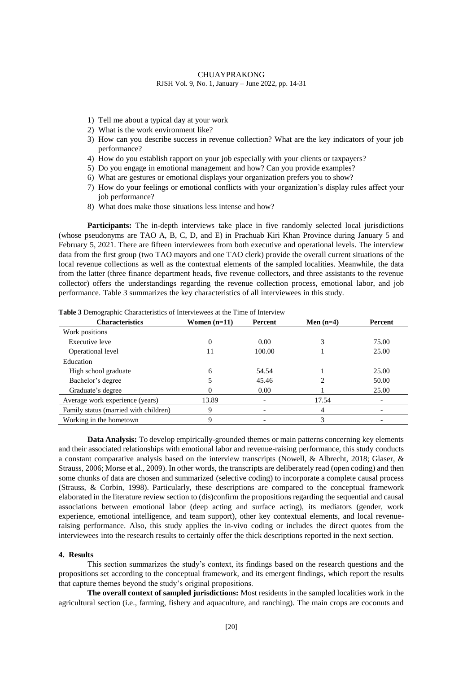- 1) Tell me about a typical day at your work
- 2) What is the work environment like?
- 3) How can you describe success in revenue collection? What are the key indicators of your job performance?
- 4) How do you establish rapport on your job especially with your clients or taxpayers?
- 5) Do you engage in emotional management and how? Can you provide examples?
- 6) What are gestures or emotional displays your organization prefers you to show?
- 7) How do your feelings or emotional conflicts with your organization's display rules affect your job performance?
- 8) What does make those situations less intense and how?

**Participants:** The in-depth interviews take place in five randomly selected local jurisdictions (whose pseudonyms are TAO A, B, C, D, and E) in Prachuab Kiri Khan Province during January 5 and February 5, 2021. There are fifteen interviewees from both executive and operational levels. The interview data from the first group (two TAO mayors and one TAO clerk) provide the overall current situations of the local revenue collections as well as the contextual elements of the sampled localities. Meanwhile, the data from the latter (three finance department heads, five revenue collectors, and three assistants to the revenue collector) offers the understandings regarding the revenue collection process, emotional labor, and job performance. Table 3 summarizes the key characteristics of all interviewees in this study.

| <b>Characteristics</b>                | Women $(n=11)$ | Percent | Men $(n=4)$ | Percent |
|---------------------------------------|----------------|---------|-------------|---------|
| Work positions                        |                |         |             |         |
| Executive leve                        | 0              | 0.00    |             | 75.00   |
| Operational level                     | 11             | 100.00  |             | 25.00   |
| Education                             |                |         |             |         |
| High school graduate                  | 6              | 54.54   |             | 25.00   |
| Bachelor's degree                     |                | 45.46   |             | 50.00   |
| Graduate's degree                     | 0              | 0.00    |             | 25.00   |
| Average work experience (years)       | 13.89          |         | 17.54       |         |
| Family status (married with children) | 9              |         | 4           |         |
| Working in the hometown               | 9              |         |             |         |

**Table 3** Demographic Characteristics of Interviewees at the Time of Interview

**Data Analysis:** To develop empirically-grounded themes or main patterns concerning key elements and their associated relationships with emotional labor and revenue-raising performance, this study conducts a constant comparative analysis based on the interview transcripts (Nowell, & Albrecht, 2018; Glaser, & Strauss, 2006; Morse et al., 2009). In other words, the transcripts are deliberately read (open coding) and then some chunks of data are chosen and summarized (selective coding) to incorporate a complete causal process (Strauss, & Corbin, 1998). Particularly, these descriptions are compared to the conceptual framework elaborated in the literature review section to (dis)confirm the propositions regarding the sequential and causal associations between emotional labor (deep acting and surface acting), its mediators (gender, work experience, emotional intelligence, and team support), other key contextual elements, and local revenueraising performance. Also, this study applies the in-vivo coding or includes the direct quotes from the interviewees into the research results to certainly offer the thick descriptions reported in the next section.

# **4. Results**

This section summarizes the study's context, its findings based on the research questions and the propositions set according to the conceptual framework, and its emergent findings, which report the results that capture themes beyond the study's original propositions.

**The overall context of sampled jurisdictions:** Most residents in the sampled localities work in the agricultural section (i.e., farming, fishery and aquaculture, and ranching). The main crops are coconuts and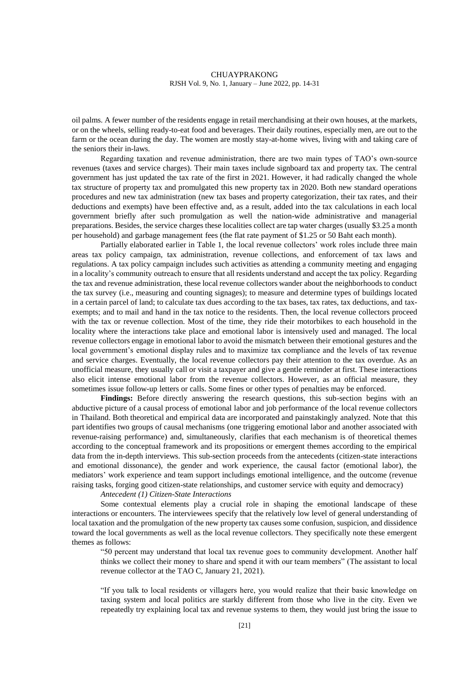oil palms. A fewer number of the residents engage in retail merchandising at their own houses, at the markets, or on the wheels, selling ready-to-eat food and beverages. Their daily routines, especially men, are out to the farm or the ocean during the day. The women are mostly stay-at-home wives, living with and taking care of the seniors their in-laws.

Regarding taxation and revenue administration, there are two main types of TAO's own-source revenues (taxes and service charges). Their main taxes include signboard tax and property tax. The central government has just updated the tax rate of the first in 2021. However, it had radically changed the whole tax structure of property tax and promulgated this new property tax in 2020. Both new standard operations procedures and new tax administration (new tax bases and property categorization, their tax rates, and their deductions and exempts) have been effective and, as a result, added into the tax calculations in each local government briefly after such promulgation as well the nation-wide administrative and managerial preparations. Besides, the service charges these localities collect are tap water charges (usually \$3.25 a month per household) and garbage management fees (the flat rate payment of \$1.25 or 50 Baht each month).

Partially elaborated earlier in Table 1, the local revenue collectors' work roles include three main areas tax policy campaign, tax administration, revenue collections, and enforcement of tax laws and regulations. A tax policy campaign includes such activities as attending a community meeting and engaging in a locality's community outreach to ensure that all residents understand and accept the tax policy. Regarding the tax and revenue administration, these local revenue collectors wander about the neighborhoods to conduct the tax survey (i.e., measuring and counting signages); to measure and determine types of buildings located in a certain parcel of land; to calculate tax dues according to the tax bases, tax rates, tax deductions, and taxexempts; and to mail and hand in the tax notice to the residents. Then, the local revenue collectors proceed with the tax or revenue collection. Most of the time, they ride their motorbikes to each household in the locality where the interactions take place and emotional labor is intensively used and managed. The local revenue collectors engage in emotional labor to avoid the mismatch between their emotional gestures and the local government's emotional display rules and to maximize tax compliance and the levels of tax revenue and service charges. Eventually, the local revenue collectors pay their attention to the tax overdue. As an unofficial measure, they usually call or visit a taxpayer and give a gentle reminder at first. These interactions also elicit intense emotional labor from the revenue collectors. However, as an official measure, they sometimes issue follow-up letters or calls. Some fines or other types of penalties may be enforced.

**Findings:** Before directly answering the research questions, this sub-section begins with an abductive picture of a causal process of emotional labor and job performance of the local revenue collectors in Thailand. Both theoretical and empirical data are incorporated and painstakingly analyzed. Note that this part identifies two groups of causal mechanisms (one triggering emotional labor and another associated with revenue-raising performance) and, simultaneously, clarifies that each mechanism is of theoretical themes according to the conceptual framework and its propositions or emergent themes according to the empirical data from the in-depth interviews. This sub-section proceeds from the antecedents (citizen-state interactions and emotional dissonance), the gender and work experience, the causal factor (emotional labor), the mediators' work experience and team support includings emotional intelligence, and the outcome (revenue raising tasks, forging good citizen-state relationships, and customer service with equity and democracy)

# *Antecedent (1) Citizen-State Interactions*

Some contextual elements play a crucial role in shaping the emotional landscape of these interactions or encounters. The interviewees specify that the relatively low level of general understanding of local taxation and the promulgation of the new property tax causes some confusion, suspicion, and dissidence toward the local governments as well as the local revenue collectors. They specifically note these emergent themes as follows:

"50 percent may understand that local tax revenue goes to community development. Another half thinks we collect their money to share and spend it with our team members" (The assistant to local revenue collector at the TAO C, January 21, 2021).

"If you talk to local residents or villagers here, you would realize that their basic knowledge on taxing system and local politics are starkly different from those who live in the city. Even we repeatedly try explaining local tax and revenue systems to them, they would just bring the issue to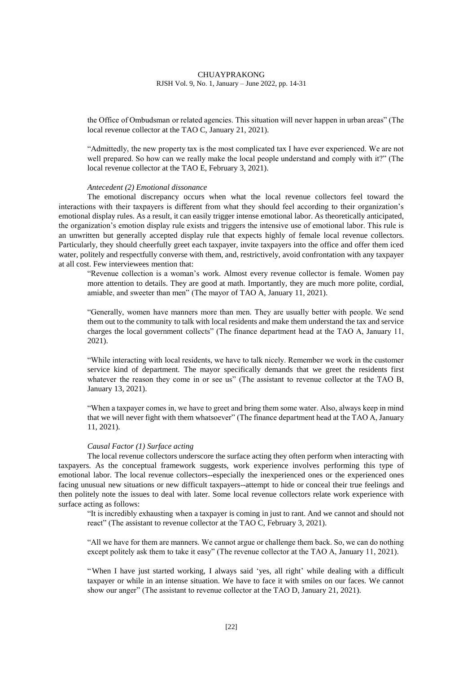the Office of Ombudsman or related agencies. This situation will never happen in urban areas" (The local revenue collector at the TAO C, January 21, 2021).

"Admittedly, the new property tax is the most complicated tax I have ever experienced. We are not well prepared. So how can we really make the local people understand and comply with it?" (The local revenue collector at the TAO E, February 3, 2021).

# *Antecedent (2) Emotional dissonance*

The emotional discrepancy occurs when what the local revenue collectors feel toward the interactions with their taxpayers is different from what they should feel according to their organization's emotional display rules. As a result, it can easily trigger intense emotional labor. As theoretically anticipated, the organization's emotion display rule exists and triggers the intensive use of emotional labor. This rule is an unwritten but generally accepted display rule that expects highly of female local revenue collectors. Particularly, they should cheerfully greet each taxpayer, invite taxpayers into the office and offer them iced water, politely and respectfully converse with them, and, restrictively, avoid confrontation with any taxpayer at all cost. Few interviewees mention that:

"Revenue collection is a woman's work. Almost every revenue collector is female. Women pay more attention to details. They are good at math. Importantly, they are much more polite, cordial, amiable, and sweeter than men" (The mayor of TAO A, January 11, 2021).

"Generally, women have manners more than men. They are usually better with people. We send them out to the community to talk with local residents and make them understand the tax and service charges the local government collects" (The finance department head at the TAO A, January 11, 2021).

"While interacting with local residents, we have to talk nicely. Remember we work in the customer service kind of department. The mayor specifically demands that we greet the residents first whatever the reason they come in or see us" (The assistant to revenue collector at the TAO B, January 13, 2021).

"When a taxpayer comes in, we have to greet and bring them some water. Also, always keep in mind that we will never fight with them whatsoever" (The finance department head at the TAO A, January 11, 2021).

#### *Causal Factor (1) Surface acting*

The local revenue collectors underscore the surface acting they often perform when interacting with taxpayers. As the conceptual framework suggests, work experience involves performing this type of emotional labor. The local revenue collectors--especially the inexperienced ones or the experienced ones facing unusual new situations or new difficult taxpayers--attempt to hide or conceal their true feelings and then politely note the issues to deal with later. Some local revenue collectors relate work experience with surface acting as follows:

"It is incredibly exhausting when a taxpayer is coming in just to rant. And we cannot and should not react" (The assistant to revenue collector at the TAO C, February 3, 2021).

"All we have for them are manners. We cannot argue or challenge them back. So, we can do nothing except politely ask them to take it easy" (The revenue collector at the TAO A, January 11, 2021).

"When I have just started working, I always said 'yes, all right' while dealing with a difficult taxpayer or while in an intense situation. We have to face it with smiles on our faces. We cannot show our anger" (The assistant to revenue collector at the TAO D, January 21, 2021).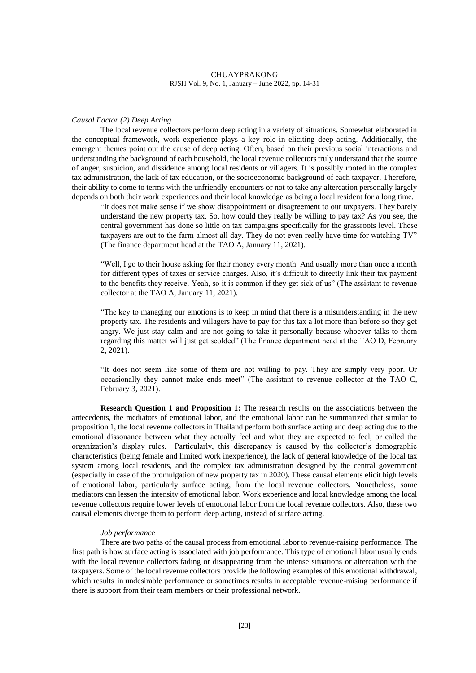#### *Causal Factor (2) Deep Acting*

The local revenue collectors perform deep acting in a variety of situations. Somewhat elaborated in the conceptual framework, work experience plays a key role in eliciting deep acting. Additionally, the emergent themes point out the cause of deep acting. Often, based on their previous social interactions and understanding the background of each household, the local revenue collectors truly understand that the source of anger, suspicion, and dissidence among local residents or villagers. It is possibly rooted in the complex tax administration, the lack of tax education, or the socioeconomic background of each taxpayer. Therefore, their ability to come to terms with the unfriendly encounters or not to take any altercation personally largely depends on both their work experiences and their local knowledge as being a local resident for a long time.

"It does not make sense if we show disappointment or disagreement to our taxpayers. They barely understand the new property tax. So, how could they really be willing to pay tax? As you see, the central government has done so little on tax campaigns specifically for the grassroots level. These taxpayers are out to the farm almost all day. They do not even really have time for watching TV" (The finance department head at the TAO A, January 11, 2021).

"Well, I go to their house asking for their money every month. And usually more than once a month for different types of taxes or service charges. Also, it's difficult to directly link their tax payment to the benefits they receive. Yeah, so it is common if they get sick of us" (The assistant to revenue collector at the TAO A, January 11, 2021).

"The key to managing our emotions is to keep in mind that there is a misunderstanding in the new property tax. The residents and villagers have to pay for this tax a lot more than before so they get angry. We just stay calm and are not going to take it personally because whoever talks to them regarding this matter will just get scolded" (The finance department head at the TAO D, February 2, 2021).

"It does not seem like some of them are not willing to pay. They are simply very poor. Or occasionally they cannot make ends meet" (The assistant to revenue collector at the TAO C, February 3, 2021).

**Research Question 1 and Proposition 1:** The research results on the associations between the antecedents, the mediators of emotional labor, and the emotional labor can be summarized that similar to proposition 1, the local revenue collectors in Thailand perform both surface acting and deep acting due to the emotional dissonance between what they actually feel and what they are expected to feel, or called the organization's display rules. Particularly, this discrepancy is caused by the collector's demographic characteristics (being female and limited work inexperience), the lack of general knowledge of the local tax system among local residents, and the complex tax administration designed by the central government (especially in case of the promulgation of new property tax in 2020). These causal elements elicit high levels of emotional labor, particularly surface acting, from the local revenue collectors. Nonetheless, some mediators can lessen the intensity of emotional labor. Work experience and local knowledge among the local revenue collectors require lower levels of emotional labor from the local revenue collectors. Also, these two causal elements diverge them to perform deep acting, instead of surface acting.

#### *Job performance*

There are two paths of the causal process from emotional labor to revenue-raising performance. The first path is how surface acting is associated with job performance. This type of emotional labor usually ends with the local revenue collectors fading or disappearing from the intense situations or altercation with the taxpayers. Some of the local revenue collectors provide the following examples of this emotional withdrawal, which results in undesirable performance or sometimes results in acceptable revenue-raising performance if there is support from their team members or their professional network.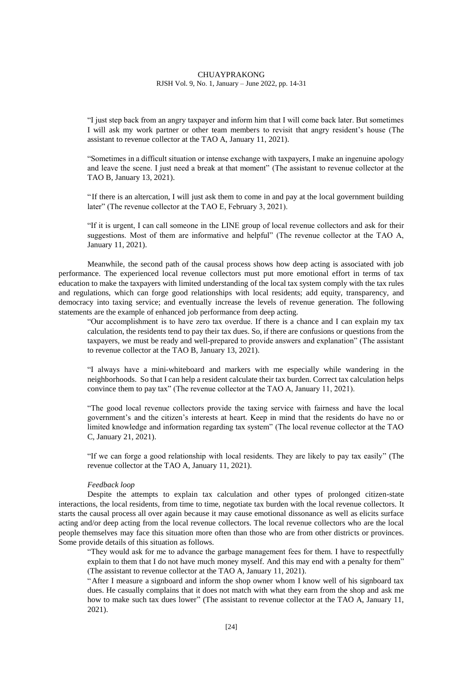"I just step back from an angry taxpayer and inform him that I will come back later. But sometimes I will ask my work partner or other team members to revisit that angry resident's house (The assistant to revenue collector at the TAO A, January 11, 2021).

"Sometimes in a difficult situation or intense exchange with taxpayers, I make an ingenuine apology and leave the scene. I just need a break at that moment" (The assistant to revenue collector at the TAO B, January 13, 2021).

"If there is an altercation, I will just ask them to come in and pay at the local government building later" (The revenue collector at the TAO E, February 3, 2021).

"If it is urgent, I can call someone in the LINE group of local revenue collectors and ask for their suggestions. Most of them are informative and helpful" (The revenue collector at the TAO A, January 11, 2021).

Meanwhile, the second path of the causal process shows how deep acting is associated with job performance. The experienced local revenue collectors must put more emotional effort in terms of tax education to make the taxpayers with limited understanding of the local tax system comply with the tax rules and regulations, which can forge good relationships with local residents; add equity, transparency, and democracy into taxing service; and eventually increase the levels of revenue generation. The following statements are the example of enhanced job performance from deep acting.

"Our accomplishment is to have zero tax overdue. If there is a chance and I can explain my tax calculation, the residents tend to pay their tax dues. So, if there are confusions or questions from the taxpayers, we must be ready and well-prepared to provide answers and explanation" (The assistant to revenue collector at the TAO B, January 13, 2021).

"I always have a mini-whiteboard and markers with me especially while wandering in the neighborhoods. So that I can help a resident calculate their tax burden. Correct tax calculation helps convince them to pay tax" (The revenue collector at the TAO A, January 11, 2021).

"The good local revenue collectors provide the taxing service with fairness and have the local government's and the citizen's interests at heart. Keep in mind that the residents do have no or limited knowledge and information regarding tax system" (The local revenue collector at the TAO C, January 21, 2021).

"If we can forge a good relationship with local residents. They are likely to pay tax easily" (The revenue collector at the TAO A, January 11, 2021).

# *Feedback loop*

Despite the attempts to explain tax calculation and other types of prolonged citizen-state interactions, the local residents, from time to time, negotiate tax burden with the local revenue collectors. It starts the causal process all over again because it may cause emotional dissonance as well as elicits surface acting and/or deep acting from the local revenue collectors. The local revenue collectors who are the local people themselves may face this situation more often than those who are from other districts or provinces. Some provide details of this situation as follows.

"They would ask for me to advance the garbage management fees for them. I have to respectfully explain to them that I do not have much money myself. And this may end with a penalty for them" (The assistant to revenue collector at the TAO A, January 11, 2021).

"After I measure a signboard and inform the shop owner whom I know well of his signboard tax dues. He casually complains that it does not match with what they earn from the shop and ask me how to make such tax dues lower" (The assistant to revenue collector at the TAO A, January 11, 2021).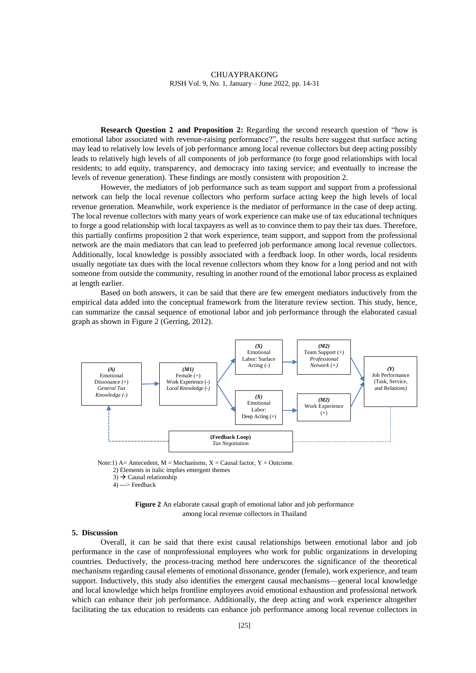**Research Question 2 and Proposition 2:** Regarding the second research question of "how is emotional labor associated with revenue-raising performance?", the results here suggest that surface acting may lead to relatively low levels of job performance among local revenue collectors but deep acting possibly leads to relatively high levels of all components of job performance (to forge good relationships with local residents; to add equity, transparency, and democracy into taxing service; and eventually to increase the levels of revenue generation). These findings are mostly consistent with proposition 2.

However, the mediators of job performance such as team support and support from a professional network can help the local revenue collectors who perform surface acting keep the high levels of local revenue generation. Meanwhile, work experience is the mediator of performance in the case of deep acting. The local revenue collectors with many years of work experience can make use of tax educational techniques to forge a good relationship with local taxpayers as well as to convince them to pay their tax dues. Therefore, this partially confirms proposition 2 that work experience, team support, and support from the professional network are the main mediators that can lead to preferred job performance among local revenue collectors. Additionally, local knowledge is possibly associated with a feedback loop. In other words, local residents usually negotiate tax dues with the local revenue collectors whom they know for a long period and not with someone from outside the community, resulting in another round of the emotional labor process as explained at length earlier.

Based on both answers, it can be said that there are few emergent mediators inductively from the empirical data added into the conceptual framework from the literature review section. This study, hence, can summarize the causal sequence of emotional labor and job performance through the elaborated casual graph as shown in Figure 2 (Gerring, 2012).



2) Elements in italic implies emergent themes  $3) \rightarrow$  Causal relationship  $4)$  ---> Feedback



#### **5. Discussion**

Overall, it can be said that there exist causal relationships between emotional labor and job performance in the case of nonprofessional employees who work for public organizations in developing countries. Deductively, the process-tracing method here underscores the significance of the theoretical mechanisms regarding causal elements of emotional dissonance, gender (female), work experience, and team support. Inductively, this study also identifies the emergent causal mechanisms—general local knowledge and local knowledge which helps frontline employees avoid emotional exhaustion and professional network which can enhance their job performance. Additionally, the deep acting and work experience altogether facilitating the tax education to residents can enhance job performance among local revenue collectors in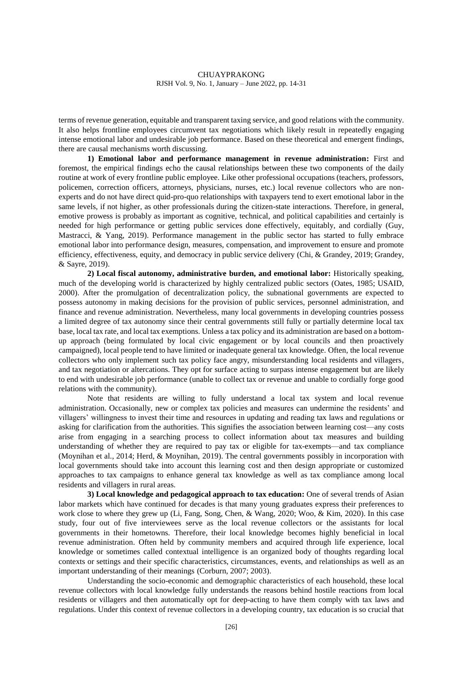terms of revenue generation, equitable and transparent taxing service, and good relations with the community. It also helps frontline employees circumvent tax negotiations which likely result in repeatedly engaging intense emotional labor and undesirable job performance. Based on these theoretical and emergent findings, there are causal mechanisms worth discussing.

**1) Emotional labor and performance management in revenue administration:** First and foremost, the empirical findings echo the causal relationships between these two components of the daily routine at work of every frontline public employee. Like other professional occupations (teachers, professors, policemen, correction officers, attorneys, physicians, nurses, etc.) local revenue collectors who are nonexperts and do not have direct quid-pro-quo relationships with taxpayers tend to exert emotional labor in the same levels, if not higher, as other professionals during the citizen-state interactions. Therefore, in general, emotive prowess is probably as important as cognitive, technical, and political capabilities and certainly is needed for high performance or getting public services done effectively, equitably, and cordially (Guy, Mastracci, & Yang, 2019). Performance management in the public sector has started to fully embrace emotional labor into performance design, measures, compensation, and improvement to ensure and promote efficiency, effectiveness, equity, and democracy in public service delivery (Chi, & Grandey, 2019; Grandey, & Sayre, 2019).

**2) Local fiscal autonomy, administrative burden, and emotional labor:** Historically speaking, much of the developing world is characterized by highly centralized public sectors (Oates, 1985; USAID, 2000). After the promulgation of decentralization policy, the subnational governments are expected to possess autonomy in making decisions for the provision of public services, personnel administration, and finance and revenue administration. Nevertheless, many local governments in developing countries possess a limited degree of tax autonomy since their central governments still fully or partially determine local tax base, local tax rate, and local tax exemptions. Unless a tax policy and its administration are based on a bottomup approach (being formulated by local civic engagement or by local councils and then proactively campaigned), local people tend to have limited or inadequate general tax knowledge. Often, the local revenue collectors who only implement such tax policy face angry, misunderstanding local residents and villagers, and tax negotiation or altercations. They opt for surface acting to surpass intense engagement but are likely to end with undesirable job performance (unable to collect tax or revenue and unable to cordially forge good relations with the community).

Note that residents are willing to fully understand a local tax system and local revenue administration. Occasionally, new or complex tax policies and measures can undermine the residents' and villagers' willingness to invest their time and resources in updating and reading tax laws and regulations or asking for clarification from the authorities. This signifies the association between learning cost—any costs arise from engaging in a searching process to collect information about tax measures and building understanding of whether they are required to pay tax or eligible for tax-exempts—and tax compliance (Moynihan et al., 2014; Herd, & Moynihan, 2019). The central governments possibly in incorporation with local governments should take into account this learning cost and then design appropriate or customized approaches to tax campaigns to enhance general tax knowledge as well as tax compliance among local residents and villagers in rural areas.

**3) Local knowledge and pedagogical approach to tax education:** One of several trends of Asian labor markets which have continued for decades is that many young graduates express their preferences to work close to where they grew up (Li, Fang, Song, Chen, & Wang, 2020; Woo, & Kim, 2020). In this case study, four out of five interviewees serve as the local revenue collectors or the assistants for local governments in their hometowns. Therefore, their local knowledge becomes highly beneficial in local revenue administration. Often held by community members and acquired through life experience, local knowledge or sometimes called contextual intelligence is an organized body of thoughts regarding local contexts or settings and their specific characteristics, circumstances, events, and relationships as well as an important understanding of their meanings (Corburn, 2007; 2003).

Understanding the socio-economic and demographic characteristics of each household, these local revenue collectors with local knowledge fully understands the reasons behind hostile reactions from local residents or villagers and then automatically opt for deep-acting to have them comply with tax laws and regulations. Under this context of revenue collectors in a developing country, tax education is so crucial that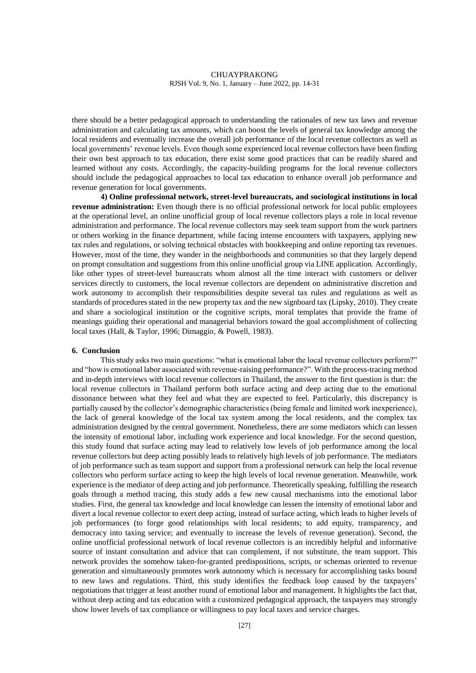there should be a better pedagogical approach to understanding the rationales of new tax laws and revenue administration and calculating tax amounts, which can boost the levels of general tax knowledge among the local residents and eventually increase the overall job performance of the local revenue collectors as well as local governments' revenue levels. Even though some experienced local revenue collectors have been finding their own best approach to tax education, there exist some good practices that can be readily shared and learned without any costs. Accordingly, the capacity-building programs for the local revenue collectors should include the pedagogical approaches to local tax education to enhance overall job performance and revenue generation for local governments.

**4) Online professional network, street-level bureaucrats, and sociological institutions in local revenue administration:** Even though there is no official professional network for local public employees at the operational level, an online unofficial group of local revenue collectors plays a role in local revenue administration and performance. The local revenue collectors may seek team support from the work partners or others working in the finance department, while facing intense encounters with taxpayers, applying new tax rules and regulations, or solving technical obstacles with bookkeeping and online reporting tax revenues. However, most of the time, they wander in the neighborhoods and communities so that they largely depend on prompt consultation and suggestions from this online unofficial group via LINE application. Accordingly, like other types of street-level bureaucrats whom almost all the time interact with customers or deliver services directly to customers, the local revenue collectors are dependent on administrative discretion and work autonomy to accomplish their responsibilities despite several tax rules and regulations as well as standards of procedures stated in the new property tax and the new signboard tax (Lipsky, 2010). They create and share a sociological institution or the cognitive scripts, moral templates that provide the frame of meanings guiding their operational and managerial behaviors toward the goal accomplishment of collecting local taxes (Hall, & Taylor, 1996; Dimaggio, & Powell, 1983).

# **6. Conclusion**

This study asks two main questions: "what is emotional labor the local revenue collectors perform?" and "how is emotional labor associated with revenue-raising performance?". With the process-tracing method and in-depth interviews with local revenue collectors in Thailand, the answer to the first question is that: the local revenue collectors in Thailand perform both surface acting and deep acting due to the emotional dissonance between what they feel and what they are expected to feel. Particularly, this discrepancy is partially caused by the collector's demographic characteristics (being female and limited work inexperience), the lack of general knowledge of the local tax system among the local residents, and the complex tax administration designed by the central government. Nonetheless, there are some mediators which can lessen the intensity of emotional labor, including work experience and local knowledge. For the second question, this study found that surface acting may lead to relatively low levels of job performance among the local revenue collectors but deep acting possibly leads to relatively high levels of job performance. The mediators of job performance such as team support and support from a professional network can help the local revenue collectors who perform surface acting to keep the high levels of local revenue generation. Meanwhile, work experience is the mediator of deep acting and job performance. Theoretically speaking, fulfilling the research goals through a method tracing, this study adds a few new causal mechanisms into the emotional labor studies. First, the general tax knowledge and local knowledge can lessen the intensity of emotional labor and divert a local revenue collector to exert deep acting, instead of surface acting, which leads to higher levels of job performances (to forge good relationships with local residents; to add equity, transparency, and democracy into taxing service; and eventually to increase the levels of revenue generation). Second, the online unofficial professional network of local revenue collectors is an incredibly helpful and informative source of instant consultation and advice that can complement, if not substitute, the team support. This network provides the somehow taken-for-granted predispositions, scripts, or schemas oriented to revenue generation and simultaneously promotes work autonomy which is necessary for accomplishing tasks bound to new laws and regulations. Third, this study identifies the feedback loop caused by the taxpayers' negotiations that trigger at least another round of emotional labor and management. It highlights the fact that, without deep acting and tax education with a customized pedagogical approach, the taxpayers may strongly show lower levels of tax compliance or willingness to pay local taxes and service charges.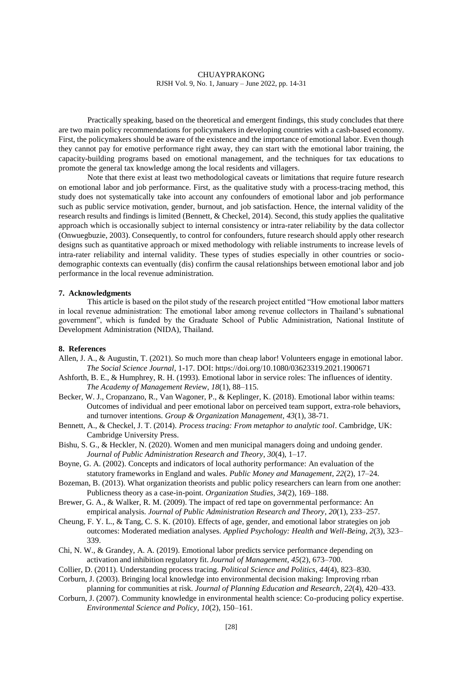Practically speaking, based on the theoretical and emergent findings, this study concludes that there are two main policy recommendations for policymakers in developing countries with a cash-based economy. First, the policymakers should be aware of the existence and the importance of emotional labor. Even though they cannot pay for emotive performance right away, they can start with the emotional labor training, the capacity-building programs based on emotional management, and the techniques for tax educations to promote the general tax knowledge among the local residents and villagers.

Note that there exist at least two methodological caveats or limitations that require future research on emotional labor and job performance. First, as the qualitative study with a process-tracing method, this study does not systematically take into account any confounders of emotional labor and job performance such as public service motivation, gender, burnout, and job satisfaction. Hence, the internal validity of the research results and findings is limited (Bennett, & Checkel, 2014). Second, this study applies the qualitative approach which is occasionally subject to internal consistency or intra-rater reliability by the data collector (Onwuegbuzie, 2003). Consequently, to control for confounders, future research should apply other research designs such as quantitative approach or mixed methodology with reliable instruments to increase levels of intra-rater reliability and internal validity. These types of studies especially in other countries or sociodemographic contexts can eventually (dis) confirm the causal relationships between emotional labor and job performance in the local revenue administration.

# **7. Acknowledgments**

This article is based on the pilot study of the research project entitled "How emotional labor matters in local revenue administration: The emotional labor among revenue collectors in Thailand's subnational government", which is funded by the Graduate School of Public Administration, National Institute of Development Administration (NIDA), Thailand.

#### **8. References**

- Allen, J. A., & Augustin, T. (2021). So much more than cheap labor! Volunteers engage in emotional labor. *The Social Science Journal*, 1-17. DOI: https://doi.org/10.1080/03623319.2021.1900671
- Ashforth, B. E., & Humphrey, R. H. (1993). Emotional labor in service roles: The influences of identity. *The Academy of Management Review*, *18*(1), 88–115.
- Becker, W. J., Cropanzano, R., Van Wagoner, P., & Keplinger, K. (2018). Emotional labor within teams: Outcomes of individual and peer emotional labor on perceived team support, extra-role behaviors, and turnover intentions. *Group & Organization Management*, *43*(1), 38-71.
- Bennett, A., & Checkel, J. T. (2014). *Process tracing: From metaphor to analytic tool*. Cambridge, UK: Cambridge University Press.
- Bishu, S. G., & Heckler, N. (2020). Women and men municipal managers doing and undoing gender. *Journal of Public Administration Research and Theory*, *30*(4), 1–17.
- Boyne, G. A. (2002). Concepts and indicators of local authority performance: An evaluation of the statutory frameworks in England and wales. *Public Money and Management*, *22*(2), 17–24.
- Bozeman, B. (2013). What organization theorists and public policy researchers can learn from one another: Publicness theory as a case-in-point. *Organization Studies*, *34*(2), 169–188.
- Brewer, G. A., & Walker, R. M. (2009). The impact of red tape on governmental performance: An empirical analysis. *Journal of Public Administration Research and Theory*, *20*(1), 233–257.
- Cheung, F. Y. L., & Tang, C. S. K. (2010). Effects of age, gender, and emotional labor strategies on job outcomes: Moderated mediation analyses. *Applied Psychology: Health and Well-Being*, *2*(3), 323– 339.
- Chi, N. W., & Grandey, A. A. (2019). Emotional labor predicts service performance depending on activation and inhibition regulatory fit. *Journal of Management*, *45*(2), 673–700.
- Collier, D. (2011). Understanding process tracing. *Political Science and Politics*, *44*(4), 823–830.
- Corburn, J. (2003). Bringing local knowledge into environmental decision making: Improving rrban planning for communities at risk. *Journal of Planning Education and Research*, *22*(4), 420–433.
- Corburn, J. (2007). Community knowledge in environmental health science: Co-producing policy expertise. *Environmental Science and Policy*, *10*(2), 150–161.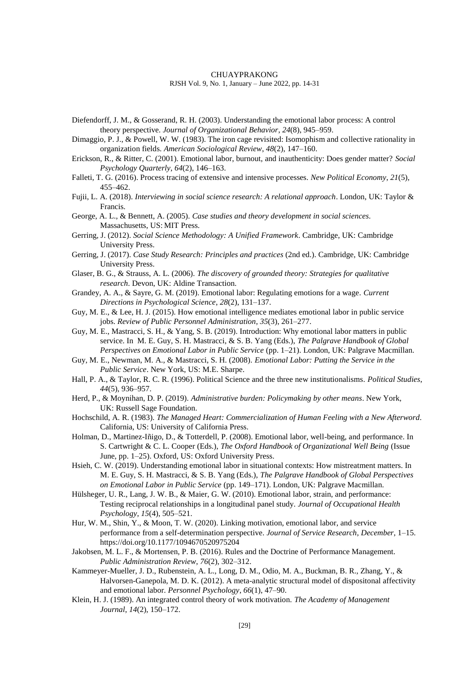Diefendorff, J. M., & Gosserand, R. H. (2003). Understanding the emotional labor process: A control theory perspective. *Journal of Organizational Behavior*, *24*(8), 945–959.

Dimaggio, P. J., & Powell, W. W. (1983). The iron cage revisited: Isomophism and collective rationality in organization fields. *American Sociological Review*, *48*(2), 147–160.

- Erickson, R., & Ritter, C. (2001). Emotional labor, burnout, and inauthenticity: Does gender matter? *Social Psychology Quarterly*, *64*(2), 146–163.
- Falleti, T. G. (2016). Process tracing of extensive and intensive processes. *New Political Economy*, *21*(5), 455–462.
- Fujii, L. A. (2018). *Interviewing in social science research: A relational approach*. London, UK: Taylor & Francis.
- George, A. L., & Bennett, A. (2005). *Case studies and theory development in social sciences*. Massachusetts, US: MIT Press.
- Gerring, J. (2012). *Social Science Methodology: A Unified Framework*. Cambridge, UK: Cambridge University Press.
- Gerring, J. (2017). *Case Study Research: Principles and practices* (2nd ed.). Cambridge, UK: Cambridge University Press.
- Glaser, B. G., & Strauss, A. L. (2006). *The discovery of grounded theory: Strategies for qualitative research*. Devon, UK: Aldine Transaction.
- Grandey, A. A., & Sayre, G. M. (2019). Emotional labor: Regulating emotions for a wage. *Current Directions in Psychological Science*, *28*(2), 131–137.
- Guy, M. E., & Lee, H. J. (2015). How emotional intelligence mediates emotional labor in public service jobs. *Review of Public Personnel Administration*, *35*(3), 261–277.
- Guy, M. E., Mastracci, S. H., & Yang, S. B. (2019). Introduction: Why emotional labor matters in public service. In M. E. Guy, S. H. Mastracci, & S. B. Yang (Eds.), *The Palgrave Handbook of Global Perspectives on Emotional Labor in Public Service* (pp. 1–21). London, UK: Palgrave Macmillan.
- Guy, M. E., Newman, M. A., & Mastracci, S. H. (2008). *Emotional Labor: Putting the Service in the Public Service*. New York, US: M.E. Sharpe.
- Hall, P. A., & Taylor, R. C. R. (1996). Political Science and the three new institutionalisms. *Political Studies*, *44*(5), 936–957.
- Herd, P., & Moynihan, D. P. (2019). *Administrative burden: Policymaking by other means*. New York, UK: Russell Sage Foundation.
- Hochschild, A. R. (1983). *The Managed Heart: Commercialization of Human Feeling with a New Afterword*. California, US: University of California Press.
- Holman, D., Martinez-Iñigo, D., & Totterdell, P. (2008). Emotional labor, well-being, and performance. In S. Cartwright & C. L. Cooper (Eds.), *The Oxford Handbook of Organizational Well Being* (Issue June, pp. 1–25). Oxford, US: Oxford University Press.
- Hsieh, C. W. (2019). Understanding emotional labor in situational contexts: How mistreatment matters. In M. E. Guy, S. H. Mastracci, & S. B. Yang (Eds.), *The Palgrave Handbook of Global Perspectives on Emotional Labor in Public Service* (pp. 149–171). London, UK: Palgrave Macmillan.
- Hülsheger, U. R., Lang, J. W. B., & Maier, G. W. (2010). Emotional labor, strain, and performance: Testing reciprocal relationships in a longitudinal panel study. *Journal of Occupational Health Psychology*, *15*(4), 505–521.
- Hur, W. M., Shin, Y., & Moon, T. W. (2020). Linking motivation, emotional labor, and service performance from a self-determination perspective. *Journal of Service Research*, *December*, 1–15. https://doi.org/10.1177/1094670520975204
- Jakobsen, M. L. F., & Mortensen, P. B. (2016). Rules and the Doctrine of Performance Management. *Public Administration Review*, *76*(2), 302–312.
- Kammeyer-Mueller, J. D., Rubenstein, A. L., Long, D. M., Odio, M. A., Buckman, B. R., Zhang, Y., & Halvorsen-Ganepola, M. D. K. (2012). A meta-analytic structural model of dispositonal affectivity and emotional labor. *Personnel Psychology*, *66*(1), 47–90.
- Klein, H. J. (1989). An integrated control theory of work motivation. *The Academy of Management Journal*, *14*(2), 150–172.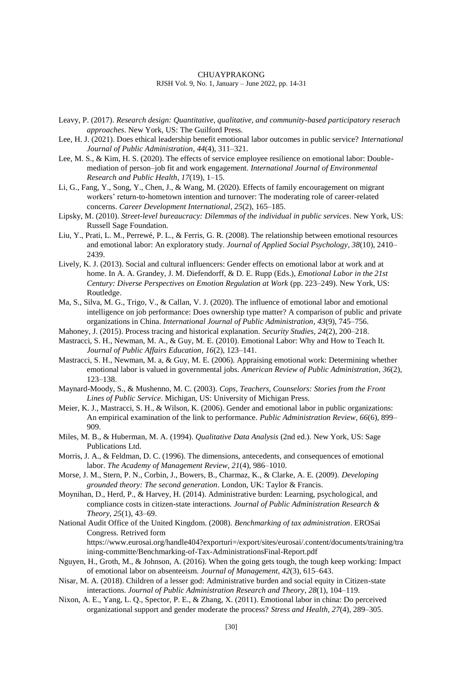- Leavy, P. (2017). *Research design: Quantitative, qualitative, and community-based participatory reserach approaches*. New York, US: The Guilford Press.
- Lee, H. J. (2021). Does ethical leadership benefit emotional labor outcomes in public service? *International Journal of Public Administration*, *44*(4), 311–321.
- Lee, M. S., & Kim, H. S. (2020). The effects of service employee resilience on emotional labor: Doublemediation of person–job fit and work engagement. *International Journal of Environmental Research and Public Health*, *17*(19), 1–15.
- Li, G., Fang, Y., Song, Y., Chen, J., & Wang, M. (2020). Effects of family encouragement on migrant workers' return-to-hometown intention and turnover: The moderating role of career-related concerns. *Career Development International*, *25*(2), 165–185.
- Lipsky, M. (2010). *Street-level bureaucracy: Dilemmas of the individual in public services*. New York, US: Russell Sage Foundation.
- Liu, Y., Prati, L. M., Perrewé, P. L., & Ferris, G. R. (2008). The relationship between emotional resources and emotional labor: An exploratory study. *Journal of Applied Social Psychology*, *38*(10), 2410– 2439.
- Lively, K. J. (2013). Social and cultural influencers: Gender effects on emotional labor at work and at home. In A. A. Grandey, J. M. Diefendorff, & D. E. Rupp (Eds.), *Emotional Labor in the 21st Century: Diverse Perspectives on Emotion Regulation at Work* (pp. 223–249). New York, US: Routledge.
- Ma, S., Silva, M. G., Trigo, V., & Callan, V. J. (2020). The influence of emotional labor and emotional intelligence on job performance: Does ownership type matter? A comparison of public and private organizations in China. *International Journal of Public Administration*, *43*(9), 745–756.
- Mahoney, J. (2015). Process tracing and historical explanation. *Security Studies*, *24*(2), 200–218.
- Mastracci, S. H., Newman, M. A., & Guy, M. E. (2010). Emotional Labor: Why and How to Teach It. *Journal of Public Affairs Education*, *16*(2), 123–141.
- Mastracci, S. H., Newman, M. a, & Guy, M. E. (2006). Appraising emotional work: Determining whether emotional labor is valued in governmental jobs. *American Review of Public Administration*, *36*(2), 123–138.
- Maynard-Moody, S., & Mushenno, M. C. (2003). *Cops, Teachers, Counselors: Stories from the Front Lines of Public Service*. Michigan, US: University of Michigan Press.
- Meier, K. J., Mastracci, S. H., & Wilson, K. (2006). Gender and emotional labor in public organizations: An empirical examination of the link to performance. *Public Administration Review*, *66*(6), 899– 909.
- Miles, M. B., & Huberman, M. A. (1994). *Qualitative Data Analysis* (2nd ed.). New York, US: Sage Publications Ltd.
- Morris, J. A., & Feldman, D. C. (1996). The dimensions, antecedents, and consequences of emotional labor. *The Academy of Management Review*, *21*(4), 986–1010.
- Morse, J. M., Stern, P. N., Corbin, J., Bowers, B., Charmaz, K., & Clarke, A. E. (2009). *Developing grounded theory: The second generation*. London, UK: Taylor & Francis.
- Moynihan, D., Herd, P., & Harvey, H. (2014). Administrative burden: Learning, psychological, and compliance costs in citizen-state interactions. *Journal of Public Administration Research & Theory*, *25*(1), 43–69.
- National Audit Office of the United Kingdom. (2008). *Benchmarking of tax administration*. EROSai Congress. Retrived form https://www.eurosai.org/handle404?exporturi=/export/sites/eurosai/.content/documents/training/tra ining-committe/Benchmarking-of-Tax-AdministrationsFinal-Report.pdf
- Nguyen, H., Groth, M., & Johnson, A. (2016). When the going gets tough, the tough keep working: Impact of emotional labor on absenteeism. *Journal of Management*, *42*(3), 615–643.
- Nisar, M. A. (2018). Children of a lesser god: Administrative burden and social equity in Citizen-state interactions. *Journal of Public Administration Research and Theory*, *28*(1), 104–119.
- Nixon, A. E., Yang, L. Q., Spector, P. E., & Zhang, X. (2011). Emotional labor in china: Do perceived organizational support and gender moderate the process? *Stress and Health*, *27*(4), 289–305.